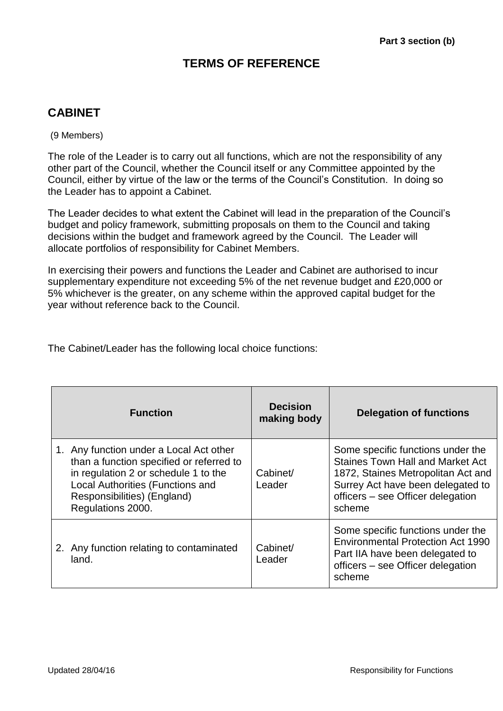### **TERMS OF REFERENCE**

### **CABINET**

(9 Members)

The role of the Leader is to carry out all functions, which are not the responsibility of any other part of the Council, whether the Council itself or any Committee appointed by the Council, either by virtue of the law or the terms of the Council's Constitution. In doing so the Leader has to appoint a Cabinet.

The Leader decides to what extent the Cabinet will lead in the preparation of the Council's budget and policy framework, submitting proposals on them to the Council and taking decisions within the budget and framework agreed by the Council. The Leader will allocate portfolios of responsibility for Cabinet Members.

In exercising their powers and functions the Leader and Cabinet are authorised to incur supplementary expenditure not exceeding 5% of the net revenue budget and £20,000 or 5% whichever is the greater, on any scheme within the approved capital budget for the year without reference back to the Council.

The Cabinet/Leader has the following local choice functions:

| <b>Function</b>                                                                                                                                                                                                     | <b>Decision</b><br>making body | <b>Delegation of functions</b>                                                                                                                                                                         |
|---------------------------------------------------------------------------------------------------------------------------------------------------------------------------------------------------------------------|--------------------------------|--------------------------------------------------------------------------------------------------------------------------------------------------------------------------------------------------------|
| 1. Any function under a Local Act other<br>than a function specified or referred to<br>in regulation 2 or schedule 1 to the<br>Local Authorities (Functions and<br>Responsibilities) (England)<br>Regulations 2000. | Cabinet/<br>Leader             | Some specific functions under the<br><b>Staines Town Hall and Market Act</b><br>1872, Staines Metropolitan Act and<br>Surrey Act have been delegated to<br>officers – see Officer delegation<br>scheme |
| 2. Any function relating to contaminated<br>land.                                                                                                                                                                   | Cabinet/<br>Leader             | Some specific functions under the<br>Environmental Protection Act 1990<br>Part IIA have been delegated to<br>officers - see Officer delegation<br>scheme                                               |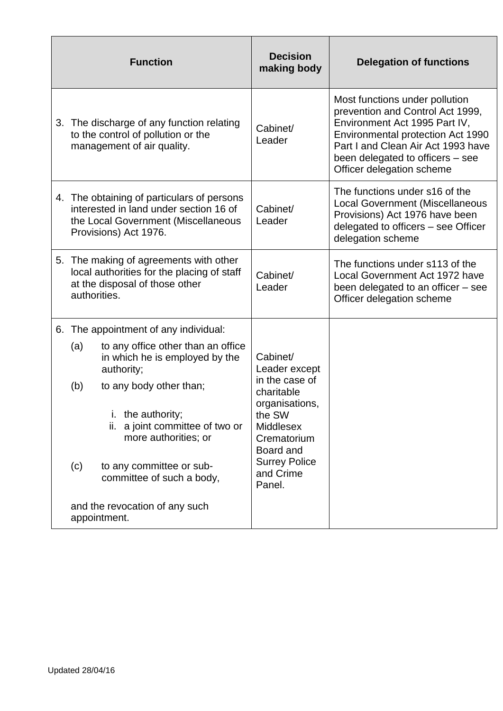| <b>Function</b>                                                                                                                                      | <b>Decision</b><br>making body                                                                                                                                                       | <b>Delegation of functions</b>                                                                                                                                                                                                                  |
|------------------------------------------------------------------------------------------------------------------------------------------------------|--------------------------------------------------------------------------------------------------------------------------------------------------------------------------------------|-------------------------------------------------------------------------------------------------------------------------------------------------------------------------------------------------------------------------------------------------|
| 3. The discharge of any function relating<br>to the control of pollution or the<br>management of air quality.                                        | Cabinet/<br>Leader                                                                                                                                                                   | Most functions under pollution<br>prevention and Control Act 1999,<br>Environment Act 1995 Part IV,<br>Environmental protection Act 1990<br>Part I and Clean Air Act 1993 have<br>been delegated to officers – see<br>Officer delegation scheme |
| 4. The obtaining of particulars of persons<br>interested in land under section 16 of<br>the Local Government (Miscellaneous<br>Provisions) Act 1976. | Cabinet/<br>Leader                                                                                                                                                                   | The functions under s16 of the<br><b>Local Government (Miscellaneous</b><br>Provisions) Act 1976 have been<br>delegated to officers - see Officer<br>delegation scheme                                                                          |
| 5. The making of agreements with other<br>local authorities for the placing of staff<br>at the disposal of those other<br>authorities.               | Cabinet/<br>Leader                                                                                                                                                                   | The functions under s113 of the<br>Local Government Act 1972 have<br>been delegated to an officer – see<br>Officer delegation scheme                                                                                                            |
| 6. The appointment of any individual:                                                                                                                |                                                                                                                                                                                      |                                                                                                                                                                                                                                                 |
| (a)<br>to any office other than an office<br>in which he is employed by the<br>authority;                                                            | Cabinet/<br>Leader except<br>in the case of<br>charitable<br>organisations,<br>the SW<br><b>Middlesex</b><br>Crematorium<br>Board and<br><b>Surrey Police</b><br>and Crime<br>Panel. |                                                                                                                                                                                                                                                 |
| to any body other than;<br>(b)                                                                                                                       |                                                                                                                                                                                      |                                                                                                                                                                                                                                                 |
| i. the authority;<br>ii. a joint committee of two or<br>more authorities; or                                                                         |                                                                                                                                                                                      |                                                                                                                                                                                                                                                 |
| to any committee or sub-<br>(c)<br>committee of such a body,                                                                                         |                                                                                                                                                                                      |                                                                                                                                                                                                                                                 |
| and the revocation of any such<br>appointment.                                                                                                       |                                                                                                                                                                                      |                                                                                                                                                                                                                                                 |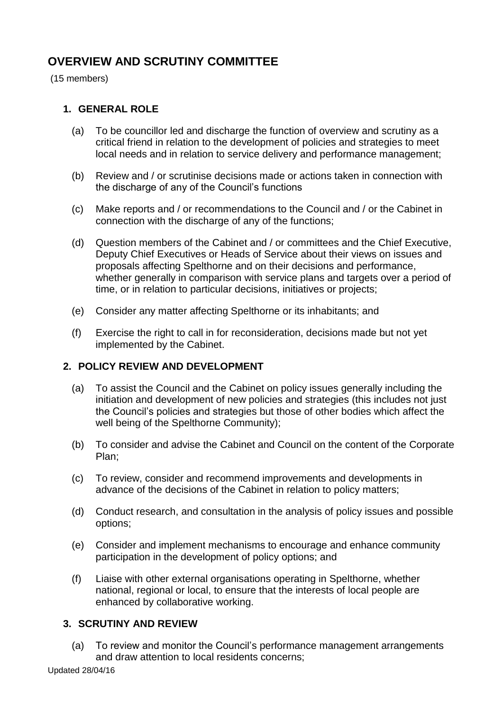## **OVERVIEW AND SCRUTINY COMMITTEE**

(15 members)

#### **1. GENERAL ROLE**

- (a) To be councillor led and discharge the function of overview and scrutiny as a critical friend in relation to the development of policies and strategies to meet local needs and in relation to service delivery and performance management;
- (b) Review and / or scrutinise decisions made or actions taken in connection with the discharge of any of the Council's functions
- (c) Make reports and / or recommendations to the Council and / or the Cabinet in connection with the discharge of any of the functions;
- (d) Question members of the Cabinet and / or committees and the Chief Executive, Deputy Chief Executives or Heads of Service about their views on issues and proposals affecting Spelthorne and on their decisions and performance, whether generally in comparison with service plans and targets over a period of time, or in relation to particular decisions, initiatives or projects;
- (e) Consider any matter affecting Spelthorne or its inhabitants; and
- (f) Exercise the right to call in for reconsideration, decisions made but not yet implemented by the Cabinet.

#### **2. POLICY REVIEW AND DEVELOPMENT**

- (a) To assist the Council and the Cabinet on policy issues generally including the initiation and development of new policies and strategies (this includes not just the Council's policies and strategies but those of other bodies which affect the well being of the Spelthorne Community);
- (b) To consider and advise the Cabinet and Council on the content of the Corporate Plan;
- (c) To review, consider and recommend improvements and developments in advance of the decisions of the Cabinet in relation to policy matters;
- (d) Conduct research, and consultation in the analysis of policy issues and possible options;
- (e) Consider and implement mechanisms to encourage and enhance community participation in the development of policy options; and
- (f) Liaise with other external organisations operating in Spelthorne, whether national, regional or local, to ensure that the interests of local people are enhanced by collaborative working.

#### **3. SCRUTINY AND REVIEW**

(a) To review and monitor the Council's performance management arrangements and draw attention to local residents concerns;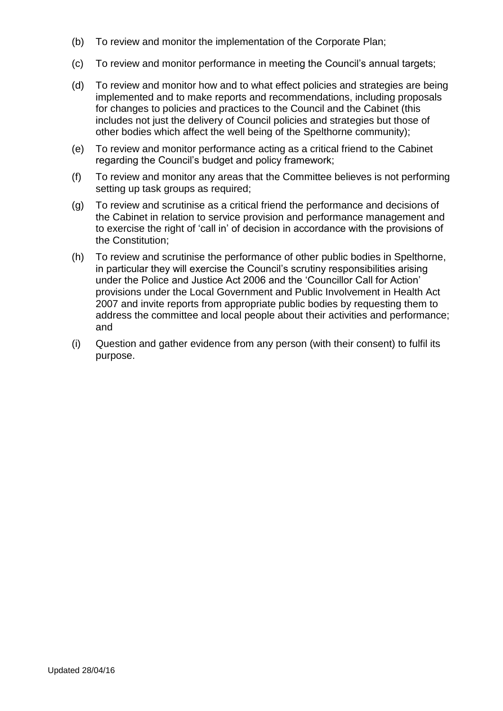- (b) To review and monitor the implementation of the Corporate Plan;
- (c) To review and monitor performance in meeting the Council's annual targets;
- (d) To review and monitor how and to what effect policies and strategies are being implemented and to make reports and recommendations, including proposals for changes to policies and practices to the Council and the Cabinet (this includes not just the delivery of Council policies and strategies but those of other bodies which affect the well being of the Spelthorne community);
- (e) To review and monitor performance acting as a critical friend to the Cabinet regarding the Council's budget and policy framework;
- (f) To review and monitor any areas that the Committee believes is not performing setting up task groups as required;
- (g) To review and scrutinise as a critical friend the performance and decisions of the Cabinet in relation to service provision and performance management and to exercise the right of 'call in' of decision in accordance with the provisions of the Constitution;
- (h) To review and scrutinise the performance of other public bodies in Spelthorne, in particular they will exercise the Council's scrutiny responsibilities arising under the Police and Justice Act 2006 and the 'Councillor Call for Action' provisions under the Local Government and Public Involvement in Health Act 2007 and invite reports from appropriate public bodies by requesting them to address the committee and local people about their activities and performance; and
- (i) Question and gather evidence from any person (with their consent) to fulfil its purpose.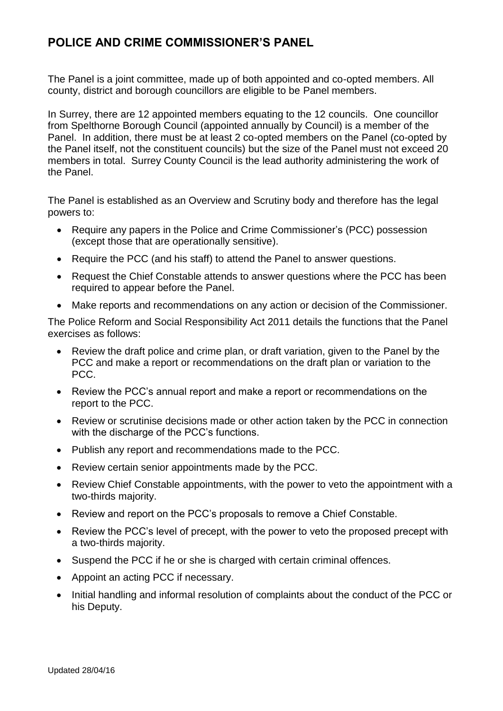## **POLICE AND CRIME COMMISSIONER'S PANEL**

The Panel is a joint committee, made up of both appointed and co-opted members. All county, district and borough councillors are eligible to be Panel members.

In Surrey, there are 12 appointed members equating to the 12 councils. One councillor from Spelthorne Borough Council (appointed annually by Council) is a member of the Panel. In addition, there must be at least 2 co-opted members on the Panel (co-opted by the Panel itself, not the constituent councils) but the size of the Panel must not exceed 20 members in total. Surrey County Council is the lead authority administering the work of the Panel.

The Panel is established as an Overview and Scrutiny body and therefore has the legal powers to:

- Require any papers in the Police and Crime Commissioner's (PCC) possession (except those that are operationally sensitive).
- Require the PCC (and his staff) to attend the Panel to answer questions.
- Request the Chief Constable attends to answer questions where the PCC has been required to appear before the Panel.
- Make reports and recommendations on any action or decision of the Commissioner.

The Police Reform and Social Responsibility Act 2011 details the functions that the Panel exercises as follows:

- Review the draft police and crime plan, or draft variation, given to the Panel by the PCC and make a report or recommendations on the draft plan or variation to the PCC.
- Review the PCC's annual report and make a report or recommendations on the report to the PCC.
- Review or scrutinise decisions made or other action taken by the PCC in connection with the discharge of the PCC's functions.
- Publish any report and recommendations made to the PCC.
- Review certain senior appointments made by the PCC.
- Review Chief Constable appointments, with the power to veto the appointment with a two-thirds majority.
- Review and report on the PCC's proposals to remove a Chief Constable.
- Review the PCC's level of precept, with the power to veto the proposed precept with a two-thirds majority.
- Suspend the PCC if he or she is charged with certain criminal offences.
- Appoint an acting PCC if necessary.
- Initial handling and informal resolution of complaints about the conduct of the PCC or his Deputy.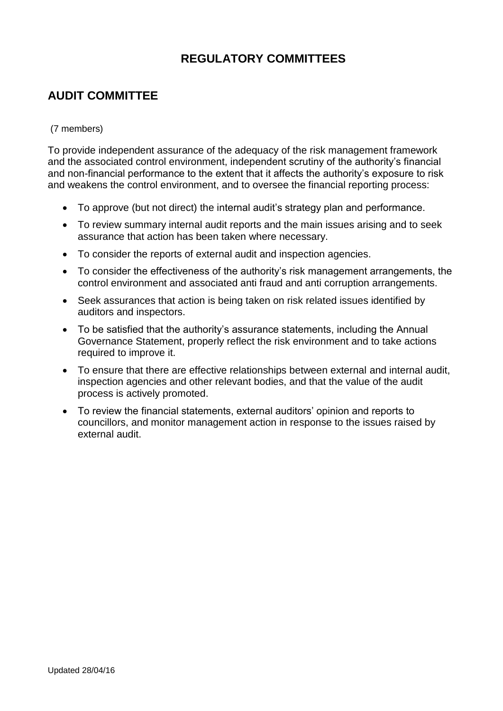## **REGULATORY COMMITTEES**

## **AUDIT COMMITTEE**

#### (7 members)

To provide independent assurance of the adequacy of the risk management framework and the associated control environment, independent scrutiny of the authority's financial and non-financial performance to the extent that it affects the authority's exposure to risk and weakens the control environment, and to oversee the financial reporting process:

- To approve (but not direct) the internal audit's strategy plan and performance.
- To review summary internal audit reports and the main issues arising and to seek assurance that action has been taken where necessary.
- To consider the reports of external audit and inspection agencies.
- To consider the effectiveness of the authority's risk management arrangements, the control environment and associated anti fraud and anti corruption arrangements.
- Seek assurances that action is being taken on risk related issues identified by auditors and inspectors.
- To be satisfied that the authority's assurance statements, including the Annual Governance Statement, properly reflect the risk environment and to take actions required to improve it.
- To ensure that there are effective relationships between external and internal audit, inspection agencies and other relevant bodies, and that the value of the audit process is actively promoted.
- To review the financial statements, external auditors' opinion and reports to councillors, and monitor management action in response to the issues raised by external audit.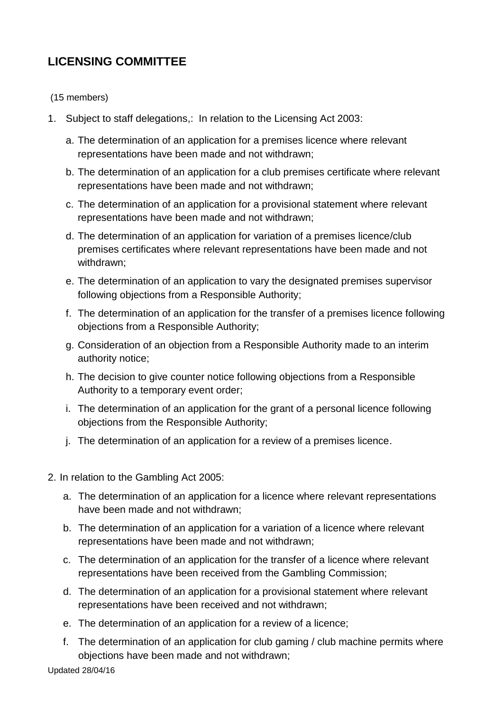## **LICENSING COMMITTEE**

(15 members)

- 1. Subject to staff delegations,: In relation to the Licensing Act 2003:
	- a. The determination of an application for a premises licence where relevant representations have been made and not withdrawn;
	- b. The determination of an application for a club premises certificate where relevant representations have been made and not withdrawn;
	- c. The determination of an application for a provisional statement where relevant representations have been made and not withdrawn;
	- d. The determination of an application for variation of a premises licence/club premises certificates where relevant representations have been made and not withdrawn;
	- e. The determination of an application to vary the designated premises supervisor following objections from a Responsible Authority;
	- f. The determination of an application for the transfer of a premises licence following objections from a Responsible Authority;
	- g. Consideration of an objection from a Responsible Authority made to an interim authority notice;
	- h. The decision to give counter notice following objections from a Responsible Authority to a temporary event order;
	- i. The determination of an application for the grant of a personal licence following objections from the Responsible Authority;
	- j. The determination of an application for a review of a premises licence.
- 2. In relation to the Gambling Act 2005:
	- a. The determination of an application for a licence where relevant representations have been made and not withdrawn;
	- b. The determination of an application for a variation of a licence where relevant representations have been made and not withdrawn;
	- c. The determination of an application for the transfer of a licence where relevant representations have been received from the Gambling Commission;
	- d. The determination of an application for a provisional statement where relevant representations have been received and not withdrawn;
	- e. The determination of an application for a review of a licence;
	- f. The determination of an application for club gaming / club machine permits where objections have been made and not withdrawn;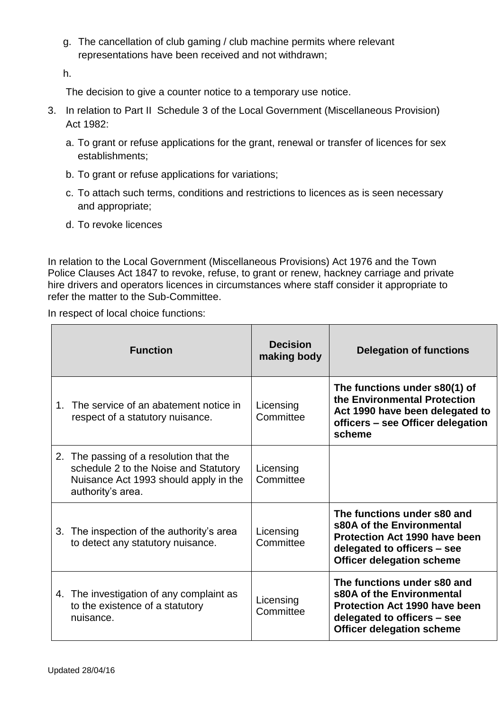g. The cancellation of club gaming / club machine permits where relevant representations have been received and not withdrawn;

h.

The decision to give a counter notice to a temporary use notice.

- 3. In relation to Part II Schedule 3 of the Local Government (Miscellaneous Provision) Act 1982:
	- a. To grant or refuse applications for the grant, renewal or transfer of licences for sex establishments;
	- b. To grant or refuse applications for variations;
	- c. To attach such terms, conditions and restrictions to licences as is seen necessary and appropriate;
	- d. To revoke licences

In relation to the Local Government (Miscellaneous Provisions) Act 1976 and the Town Police Clauses Act 1847 to revoke, refuse, to grant or renew, hackney carriage and private hire drivers and operators licences in circumstances where staff consider it appropriate to refer the matter to the Sub-Committee.

In respect of local choice functions:

| <b>Function</b>                                                                                                                                | <b>Decision</b><br>making body | <b>Delegation of functions</b>                                                                                                                                      |
|------------------------------------------------------------------------------------------------------------------------------------------------|--------------------------------|---------------------------------------------------------------------------------------------------------------------------------------------------------------------|
| 1. The service of an abatement notice in<br>respect of a statutory nuisance.                                                                   | Licensing<br>Committee         | The functions under s80(1) of<br>the Environmental Protection<br>Act 1990 have been delegated to<br>officers – see Officer delegation<br>scheme                     |
| 2. The passing of a resolution that the<br>schedule 2 to the Noise and Statutory<br>Nuisance Act 1993 should apply in the<br>authority's area. | Licensing<br>Committee         |                                                                                                                                                                     |
| 3. The inspection of the authority's area<br>to detect any statutory nuisance.                                                                 | Licensing<br>Committee         | The functions under s80 and<br>s80A of the Environmental<br><b>Protection Act 1990 have been</b><br>delegated to officers - see<br><b>Officer delegation scheme</b> |
| 4. The investigation of any complaint as<br>to the existence of a statutory<br>nuisance.                                                       | Licensing<br>Committee         | The functions under s80 and<br>s80A of the Environmental<br><b>Protection Act 1990 have been</b><br>delegated to officers - see<br><b>Officer delegation scheme</b> |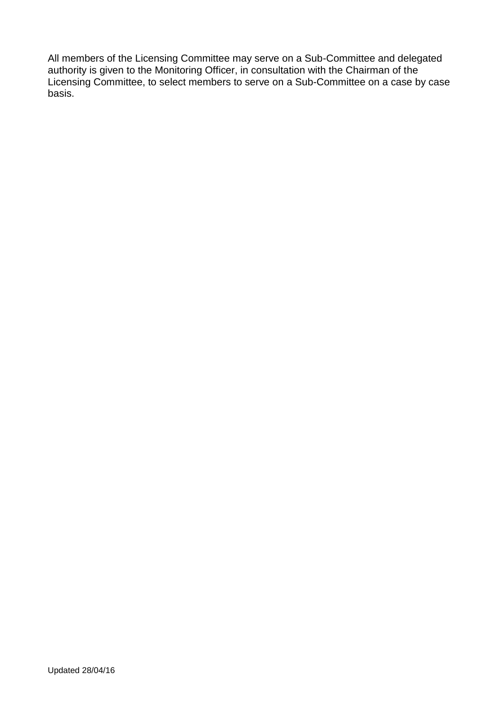All members of the Licensing Committee may serve on a Sub-Committee and delegated authority is given to the Monitoring Officer, in consultation with the Chairman of the Licensing Committee, to select members to serve on a Sub-Committee on a case by case basis.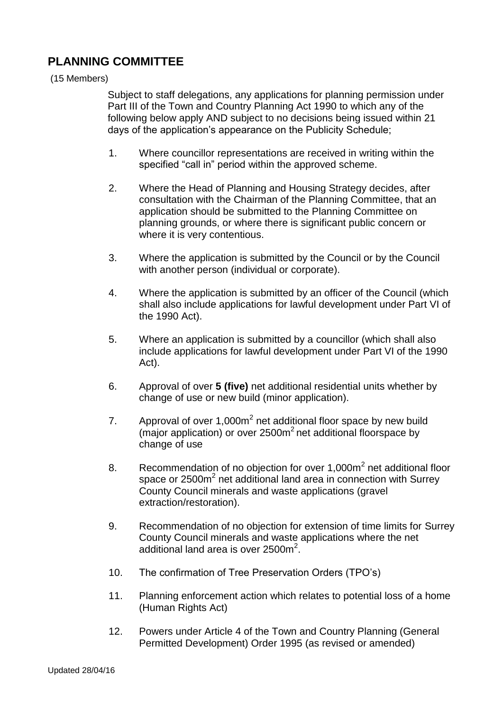### **PLANNING COMMITTEE**

#### (15 Members)

Subject to staff delegations, any applications for planning permission under Part III of the Town and Country Planning Act 1990 to which any of the following below apply AND subject to no decisions being issued within 21 days of the application's appearance on the Publicity Schedule;

- 1. Where councillor representations are received in writing within the specified "call in" period within the approved scheme.
- 2. Where the Head of Planning and Housing Strategy decides, after consultation with the Chairman of the Planning Committee, that an application should be submitted to the Planning Committee on planning grounds, or where there is significant public concern or where it is very contentious.
- 3. Where the application is submitted by the Council or by the Council with another person (individual or corporate).
- 4. Where the application is submitted by an officer of the Council (which shall also include applications for lawful development under Part VI of the 1990 Act).
- 5. Where an application is submitted by a councillor (which shall also include applications for lawful development under Part VI of the 1990 Act).
- 6. Approval of over **5 (five)** net additional residential units whether by change of use or new build (minor application).
- 7. Approval of over  $1,000m^2$  net additional floor space by new build (major application) or over  $2500m^2$  net additional floorspace by change of use
- 8. Recommendation of no objection for over 1,000m<sup>2</sup> net additional floor space or 2500m<sup>2</sup> net additional land area in connection with Surrey County Council minerals and waste applications (gravel extraction/restoration).
- 9. Recommendation of no objection for extension of time limits for Surrey County Council minerals and waste applications where the net additional land area is over  $2500m^2$ .
- 10. The confirmation of Tree Preservation Orders (TPO's)
- 11. Planning enforcement action which relates to potential loss of a home (Human Rights Act)
- 12. Powers under Article 4 of the Town and Country Planning (General Permitted Development) Order 1995 (as revised or amended)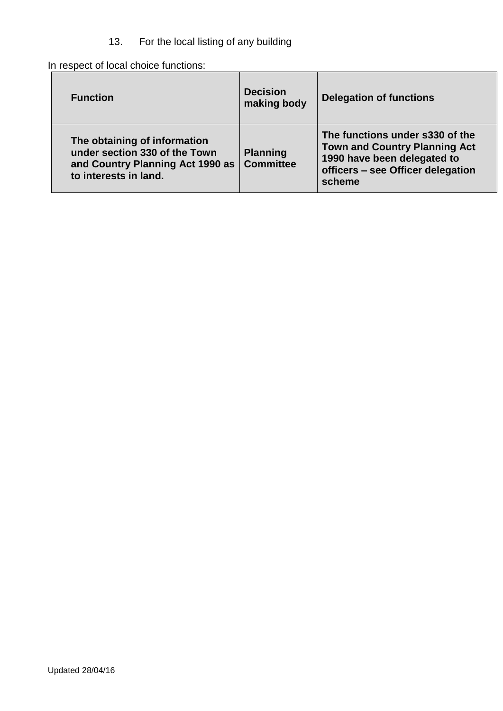### 13. For the local listing of any building

In respect of local choice functions:

| <b>Function</b>                                                                                                            | <b>Decision</b><br>making body      | <b>Delegation of functions</b>                                                                                                                        |
|----------------------------------------------------------------------------------------------------------------------------|-------------------------------------|-------------------------------------------------------------------------------------------------------------------------------------------------------|
| The obtaining of information<br>under section 330 of the Town<br>and Country Planning Act 1990 as<br>to interests in land. | <b>Planning</b><br><b>Committee</b> | The functions under s330 of the<br><b>Town and Country Planning Act</b><br>1990 have been delegated to<br>officers - see Officer delegation<br>scheme |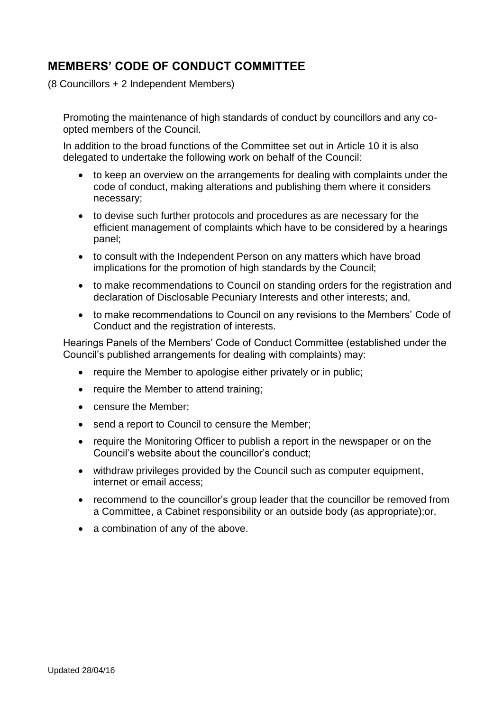## **MEMBERS' CODE OF CONDUCT COMMITTEE**

(8 Councillors + 2 Independent Members)

Promoting the maintenance of high standards of conduct by councillors and any coopted members of the Council.

In addition to the broad functions of the Committee set out in Article 10 it is also delegated to undertake the following work on behalf of the Council:

- to keep an overview on the arrangements for dealing with complaints under the code of conduct, making alterations and publishing them where it considers necessary;
- to devise such further protocols and procedures as are necessary for the efficient management of complaints which have to be considered by a hearings panel;
- to consult with the Independent Person on any matters which have broad implications for the promotion of high standards by the Council;
- to make recommendations to Council on standing orders for the registration and declaration of Disclosable Pecuniary Interests and other interests; and,
- to make recommendations to Council on any revisions to the Members' Code of Conduct and the registration of interests.

Hearings Panels of the Members' Code of Conduct Committee (established under the Council's published arrangements for dealing with complaints) may:

- require the Member to apologise either privately or in public;
- require the Member to attend training;
- censure the Member;
- send a report to Council to censure the Member;
- require the Monitoring Officer to publish a report in the newspaper or on the Council's website about the councillor's conduct;
- withdraw privileges provided by the Council such as computer equipment, internet or email access;
- recommend to the councillor's group leader that the councillor be removed from a Committee, a Cabinet responsibility or an outside body (as appropriate);or,
- a combination of any of the above.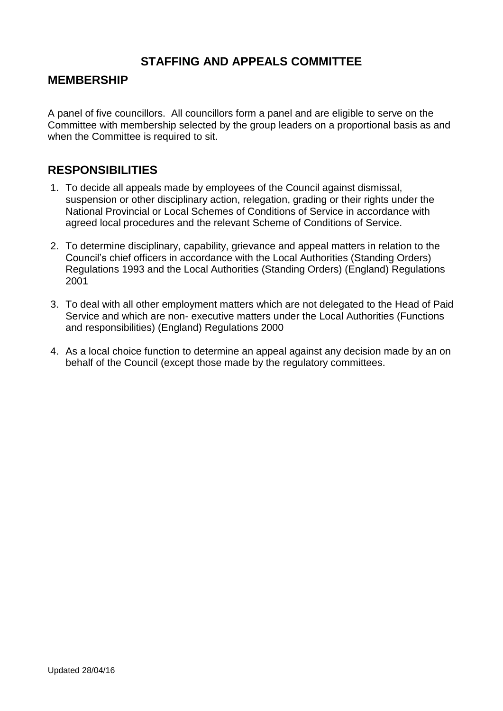### **STAFFING AND APPEALS COMMITTEE**

#### **MEMBERSHIP**

A panel of five councillors. All councillors form a panel and are eligible to serve on the Committee with membership selected by the group leaders on a proportional basis as and when the Committee is required to sit.

### **RESPONSIBILITIES**

- 1. To decide all appeals made by employees of the Council against dismissal, suspension or other disciplinary action, relegation, grading or their rights under the National Provincial or Local Schemes of Conditions of Service in accordance with agreed local procedures and the relevant Scheme of Conditions of Service.
- 2. To determine disciplinary, capability, grievance and appeal matters in relation to the Council's chief officers in accordance with the Local Authorities (Standing Orders) Regulations 1993 and the Local Authorities (Standing Orders) (England) Regulations 2001
- 3. To deal with all other employment matters which are not delegated to the Head of Paid Service and which are non- executive matters under the Local Authorities (Functions and responsibilities) (England) Regulations 2000
- 4. As a local choice function to determine an appeal against any decision made by an on behalf of the Council (except those made by the regulatory committees.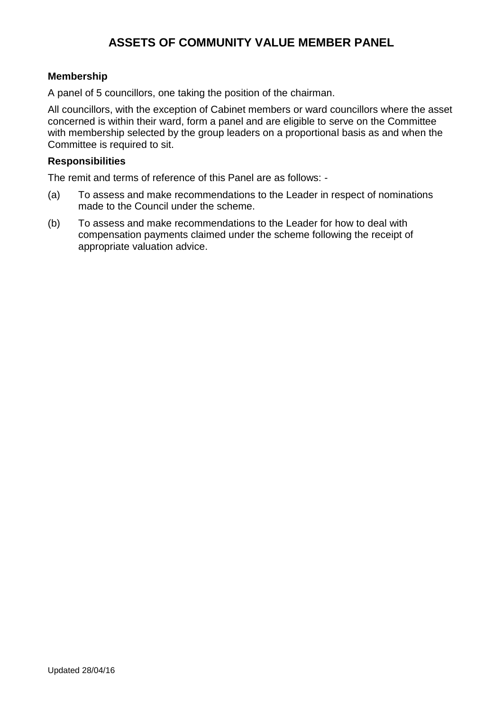## **ASSETS OF COMMUNITY VALUE MEMBER PANEL**

#### **Membership**

A panel of 5 councillors, one taking the position of the chairman.

All councillors, with the exception of Cabinet members or ward councillors where the asset concerned is within their ward, form a panel and are eligible to serve on the Committee with membership selected by the group leaders on a proportional basis as and when the Committee is required to sit.

#### **Responsibilities**

The remit and terms of reference of this Panel are as follows: -

- (a) To assess and make recommendations to the Leader in respect of nominations made to the Council under the scheme.
- (b) To assess and make recommendations to the Leader for how to deal with compensation payments claimed under the scheme following the receipt of appropriate valuation advice.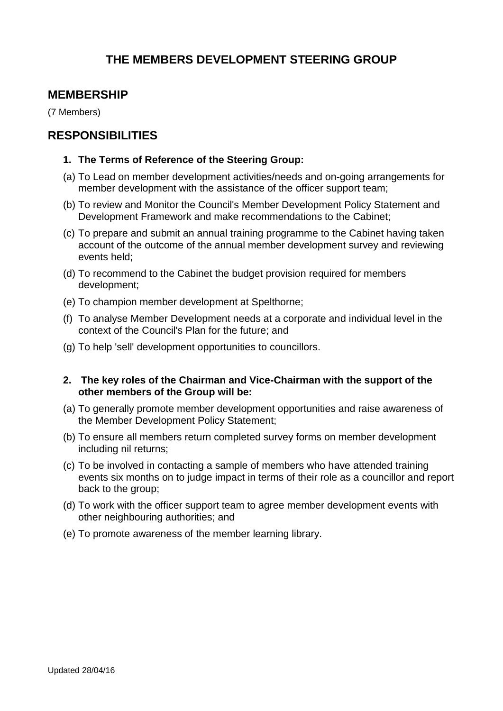## **THE MEMBERS DEVELOPMENT STEERING GROUP**

### **MEMBERSHIP**

(7 Members)

#### **RESPONSIBILITIES**

#### **1. The Terms of Reference of the Steering Group:**

- (a) To Lead on member development activities/needs and on-going arrangements for member development with the assistance of the officer support team;
- (b) To review and Monitor the Council's Member Development Policy Statement and Development Framework and make recommendations to the Cabinet;
- (c) To prepare and submit an annual training programme to the Cabinet having taken account of the outcome of the annual member development survey and reviewing events held;
- (d) To recommend to the Cabinet the budget provision required for members development;
- (e) To champion member development at Spelthorne;
- (f) To analyse Member Development needs at a corporate and individual level in the context of the Council's Plan for the future; and
- (g) To help 'sell' development opportunities to councillors.
- **2. The key roles of the Chairman and Vice-Chairman with the support of the other members of the Group will be:**
- (a) To generally promote member development opportunities and raise awareness of the Member Development Policy Statement;
- (b) To ensure all members return completed survey forms on member development including nil returns;
- (c) To be involved in contacting a sample of members who have attended training events six months on to judge impact in terms of their role as a councillor and report back to the group;
- (d) To work with the officer support team to agree member development events with other neighbouring authorities; and
- (e) To promote awareness of the member learning library.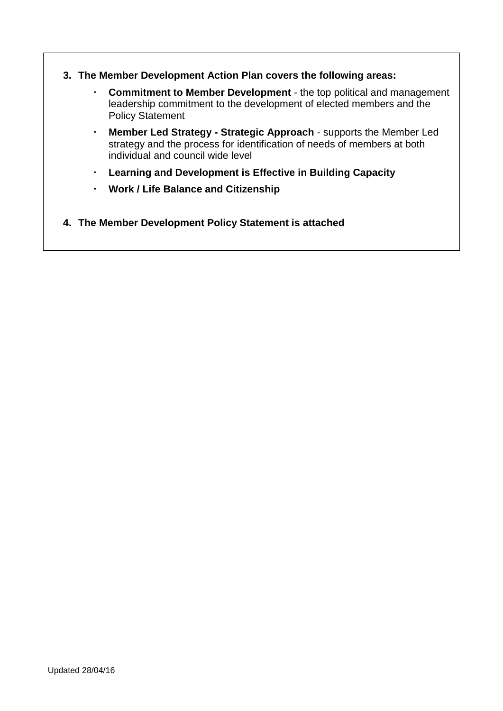- **3. The Member Development Action Plan covers the following areas:**
	- **Commitment to Member Development**  the top political and management leadership commitment to the development of elected members and the Policy Statement
	- **Member Led Strategy - Strategic Approach** supports the Member Led strategy and the process for identification of needs of members at both individual and council wide level
	- **Learning and Development is Effective in Building Capacity**
	- **Work / Life Balance and Citizenship**
- **4. The Member Development Policy Statement is attached**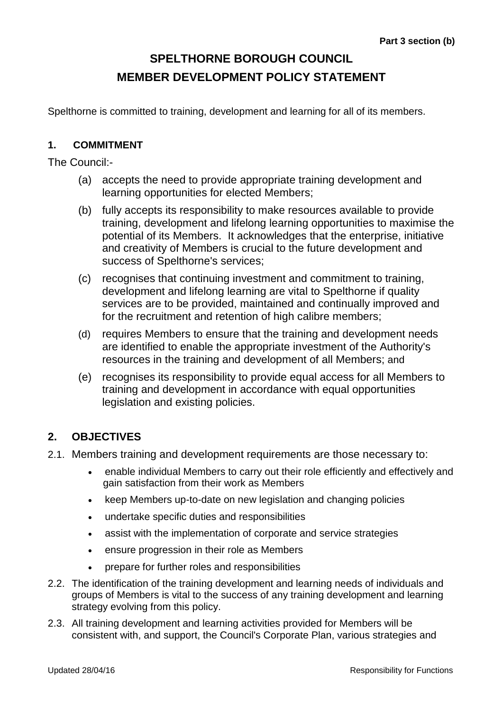# **SPELTHORNE BOROUGH COUNCIL MEMBER DEVELOPMENT POLICY STATEMENT**

Spelthorne is committed to training, development and learning for all of its members.

#### **1. COMMITMENT**

The Council:-

- (a) accepts the need to provide appropriate training development and learning opportunities for elected Members;
- (b) fully accepts its responsibility to make resources available to provide training, development and lifelong learning opportunities to maximise the potential of its Members. It acknowledges that the enterprise, initiative and creativity of Members is crucial to the future development and success of Spelthorne's services;
- (c) recognises that continuing investment and commitment to training, development and lifelong learning are vital to Spelthorne if quality services are to be provided, maintained and continually improved and for the recruitment and retention of high calibre members;
- (d) requires Members to ensure that the training and development needs are identified to enable the appropriate investment of the Authority's resources in the training and development of all Members; and
- (e) recognises its responsibility to provide equal access for all Members to training and development in accordance with equal opportunities legislation and existing policies.

### **2. OBJECTIVES**

- 2.1. Members training and development requirements are those necessary to:
	- enable individual Members to carry out their role efficiently and effectively and gain satisfaction from their work as Members
	- keep Members up-to-date on new legislation and changing policies
	- undertake specific duties and responsibilities
	- assist with the implementation of corporate and service strategies
	- ensure progression in their role as Members
	- prepare for further roles and responsibilities
- 2.2. The identification of the training development and learning needs of individuals and groups of Members is vital to the success of any training development and learning strategy evolving from this policy.
- 2.3. All training development and learning activities provided for Members will be consistent with, and support, the Council's Corporate Plan, various strategies and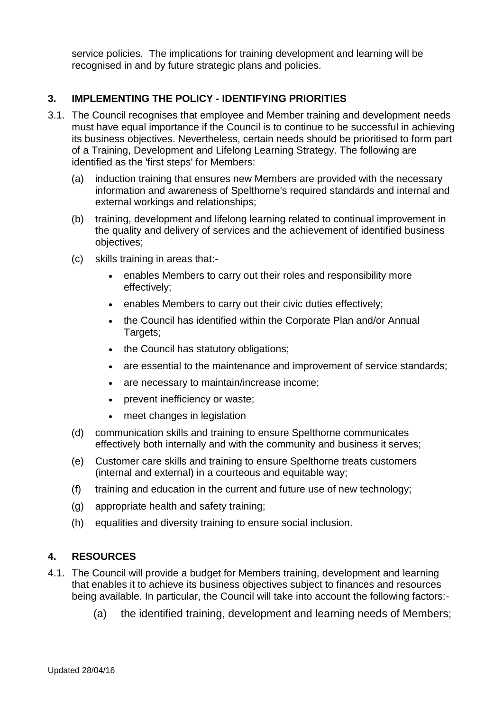service policies. The implications for training development and learning will be recognised in and by future strategic plans and policies.

#### **3. IMPLEMENTING THE POLICY - IDENTIFYING PRIORITIES**

- 3.1. The Council recognises that employee and Member training and development needs must have equal importance if the Council is to continue to be successful in achieving its business objectives. Nevertheless, certain needs should be prioritised to form part of a Training, Development and Lifelong Learning Strategy. The following are identified as the 'first steps' for Members:
	- (a) induction training that ensures new Members are provided with the necessary information and awareness of Spelthorne's required standards and internal and external workings and relationships;
	- (b) training, development and lifelong learning related to continual improvement in the quality and delivery of services and the achievement of identified business objectives;
	- (c) skills training in areas that:-
		- enables Members to carry out their roles and responsibility more effectively;
		- enables Members to carry out their civic duties effectively;
		- the Council has identified within the Corporate Plan and/or Annual Targets;
		- the Council has statutory obligations;
		- are essential to the maintenance and improvement of service standards;
		- are necessary to maintain/increase income;
		- prevent inefficiency or waste;
		- meet changes in legislation
	- (d) communication skills and training to ensure Spelthorne communicates effectively both internally and with the community and business it serves;
	- (e) Customer care skills and training to ensure Spelthorne treats customers (internal and external) in a courteous and equitable way;
	- (f) training and education in the current and future use of new technology;
	- (g) appropriate health and safety training;
	- (h) equalities and diversity training to ensure social inclusion.

#### **4. RESOURCES**

- 4.1. The Council will provide a budget for Members training, development and learning that enables it to achieve its business objectives subject to finances and resources being available. In particular, the Council will take into account the following factors:-
	- (a) the identified training, development and learning needs of Members;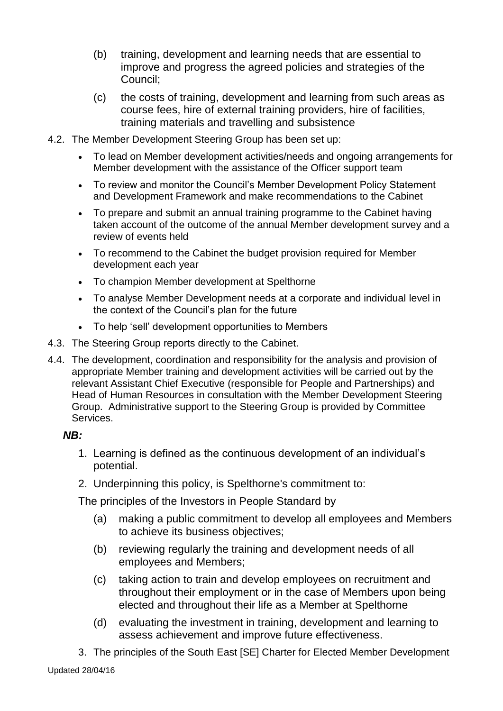- (b) training, development and learning needs that are essential to improve and progress the agreed policies and strategies of the Council;
- (c) the costs of training, development and learning from such areas as course fees, hire of external training providers, hire of facilities, training materials and travelling and subsistence
- 4.2. The Member Development Steering Group has been set up:
	- To lead on Member development activities/needs and ongoing arrangements for Member development with the assistance of the Officer support team
	- To review and monitor the Council's Member Development Policy Statement and Development Framework and make recommendations to the Cabinet
	- To prepare and submit an annual training programme to the Cabinet having taken account of the outcome of the annual Member development survey and a review of events held
	- To recommend to the Cabinet the budget provision required for Member development each year
	- To champion Member development at Spelthorne
	- To analyse Member Development needs at a corporate and individual level in the context of the Council's plan for the future
	- To help 'sell' development opportunities to Members
- 4.3. The Steering Group reports directly to the Cabinet.
- 4.4. The development, coordination and responsibility for the analysis and provision of appropriate Member training and development activities will be carried out by the relevant Assistant Chief Executive (responsible for People and Partnerships) and Head of Human Resources in consultation with the Member Development Steering Group. Administrative support to the Steering Group is provided by Committee Services.

### *NB:*

- 1. Learning is defined as the continuous development of an individual's potential.
- 2. Underpinning this policy, is Spelthorne's commitment to:

The principles of the Investors in People Standard by

- (a) making a public commitment to develop all employees and Members to achieve its business objectives;
- (b) reviewing regularly the training and development needs of all employees and Members;
- (c) taking action to train and develop employees on recruitment and throughout their employment or in the case of Members upon being elected and throughout their life as a Member at Spelthorne
- (d) evaluating the investment in training, development and learning to assess achievement and improve future effectiveness.
- 3. The principles of the South East [SE] Charter for Elected Member Development